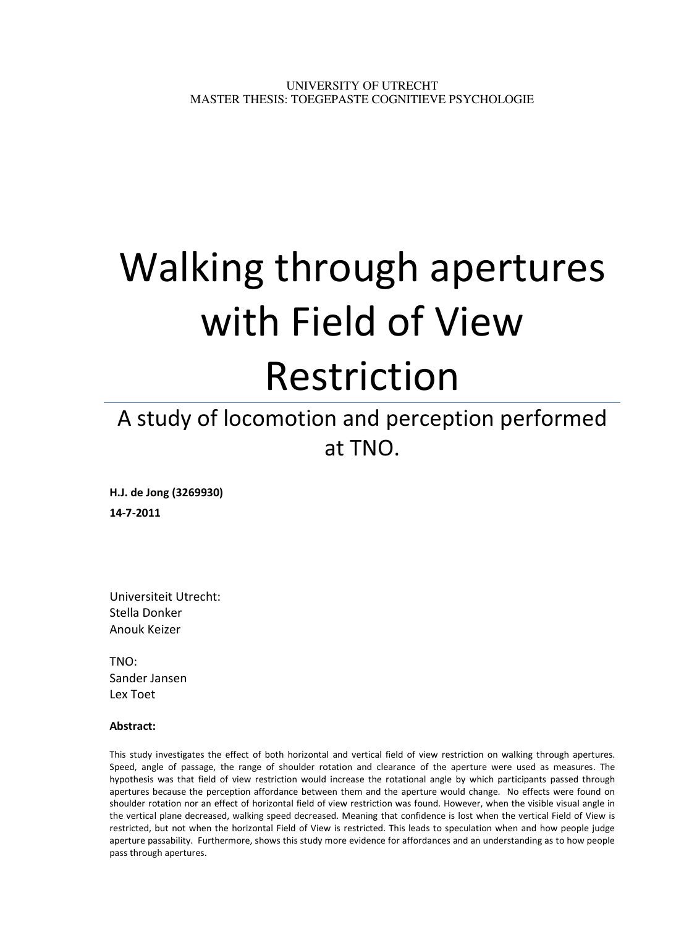# Walking through apertures with Field of View Restriction

# A study of locomotion and perception performed at TNO.

H.J. de Jong (3269930) 14-7-2011

Universiteit Utrecht: Stella Donker Anouk Keizer

TNO: Sander Jansen Lex Toet

# Abstract:

This study investigates the effect of both horizontal and vertical field of view restriction on walking through apertures. Speed, angle of passage, the range of shoulder rotation and clearance of the aperture were used as measures. The hypothesis was that field of view restriction would increase the rotational angle by which participants passed through apertures because the perception affordance between them and the aperture would change. No effects were found on shoulder rotation nor an effect of horizontal field of view restriction was found. However, when the visible visual angle in the vertical plane decreased, walking speed decreased. Meaning that confidence is lost when the vertical Field of View is restricted, but not when the horizontal Field of View is restricted. This leads to speculation when and how people judge aperture passability. Furthermore, shows this study more evidence for affordances and an understanding as to how people pass through apertures.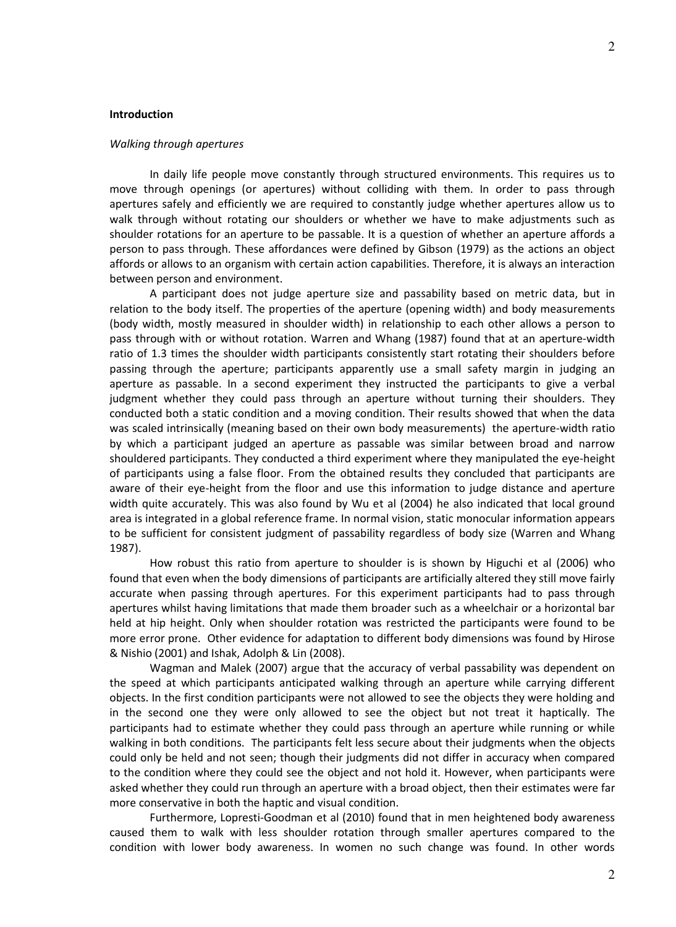#### Introduction

#### Walking through apertures

In daily life people move constantly through structured environments. This requires us to move through openings (or apertures) without colliding with them. In order to pass through apertures safely and efficiently we are required to constantly judge whether apertures allow us to walk through without rotating our shoulders or whether we have to make adjustments such as shoulder rotations for an aperture to be passable. It is a question of whether an aperture affords a person to pass through. These affordances were defined by Gibson (1979) as the actions an object affords or allows to an organism with certain action capabilities. Therefore, it is always an interaction between person and environment.

A participant does not judge aperture size and passability based on metric data, but in relation to the body itself. The properties of the aperture (opening width) and body measurements (body width, mostly measured in shoulder width) in relationship to each other allows a person to pass through with or without rotation. Warren and Whang (1987) found that at an aperture-width ratio of 1.3 times the shoulder width participants consistently start rotating their shoulders before passing through the aperture; participants apparently use a small safety margin in judging an aperture as passable. In a second experiment they instructed the participants to give a verbal judgment whether they could pass through an aperture without turning their shoulders. They conducted both a static condition and a moving condition. Their results showed that when the data was scaled intrinsically (meaning based on their own body measurements) the aperture-width ratio by which a participant judged an aperture as passable was similar between broad and narrow shouldered participants. They conducted a third experiment where they manipulated the eye-height of participants using a false floor. From the obtained results they concluded that participants are aware of their eye-height from the floor and use this information to judge distance and aperture width quite accurately. This was also found by Wu et al (2004) he also indicated that local ground area is integrated in a global reference frame. In normal vision, static monocular information appears to be sufficient for consistent judgment of passability regardless of body size (Warren and Whang 1987).

How robust this ratio from aperture to shoulder is is shown by Higuchi et al (2006) who found that even when the body dimensions of participants are artificially altered they still move fairly accurate when passing through apertures. For this experiment participants had to pass through apertures whilst having limitations that made them broader such as a wheelchair or a horizontal bar held at hip height. Only when shoulder rotation was restricted the participants were found to be more error prone. Other evidence for adaptation to different body dimensions was found by Hirose & Nishio (2001) and Ishak, Adolph & Lin (2008).

Wagman and Malek (2007) argue that the accuracy of verbal passability was dependent on the speed at which participants anticipated walking through an aperture while carrying different objects. In the first condition participants were not allowed to see the objects they were holding and in the second one they were only allowed to see the object but not treat it haptically. The participants had to estimate whether they could pass through an aperture while running or while walking in both conditions. The participants felt less secure about their judgments when the objects could only be held and not seen; though their judgments did not differ in accuracy when compared to the condition where they could see the object and not hold it. However, when participants were asked whether they could run through an aperture with a broad object, then their estimates were far more conservative in both the haptic and visual condition.

Furthermore, Lopresti-Goodman et al (2010) found that in men heightened body awareness caused them to walk with less shoulder rotation through smaller apertures compared to the condition with lower body awareness. In women no such change was found. In other words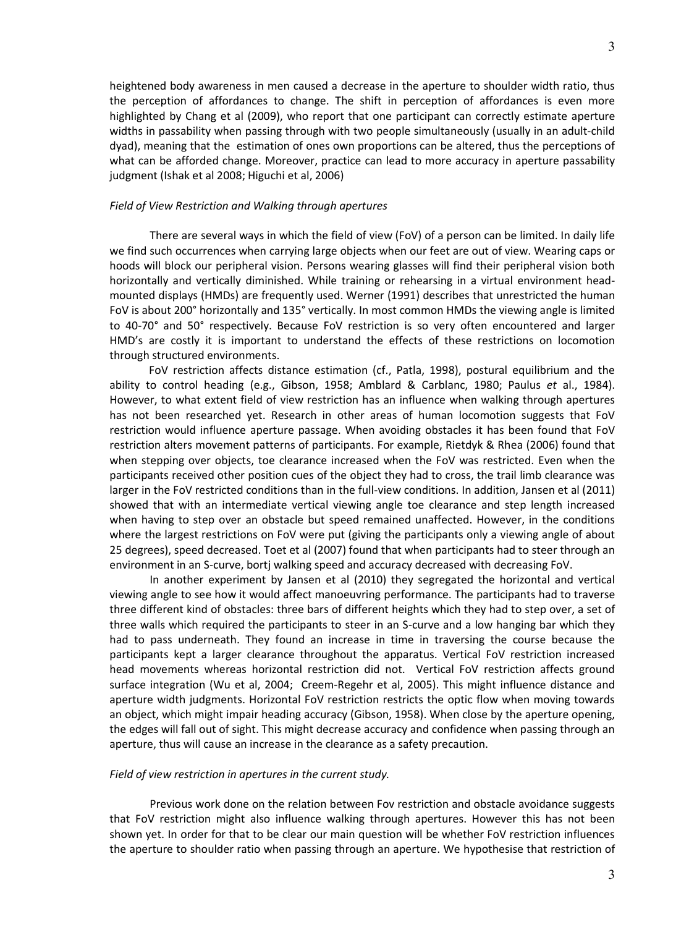heightened body awareness in men caused a decrease in the aperture to shoulder width ratio, thus the perception of affordances to change. The shift in perception of affordances is even more highlighted by Chang et al (2009), who report that one participant can correctly estimate aperture widths in passability when passing through with two people simultaneously (usually in an adult-child dyad), meaning that the estimation of ones own proportions can be altered, thus the perceptions of what can be afforded change. Moreover, practice can lead to more accuracy in aperture passability judgment (Ishak et al 2008; Higuchi et al, 2006)

#### Field of View Restriction and Walking through apertures

There are several ways in which the field of view (FoV) of a person can be limited. In daily life we find such occurrences when carrying large objects when our feet are out of view. Wearing caps or hoods will block our peripheral vision. Persons wearing glasses will find their peripheral vision both horizontally and vertically diminished. While training or rehearsing in a virtual environment headmounted displays (HMDs) are frequently used. Werner (1991) describes that unrestricted the human FoV is about 200° horizontally and 135° vertically. In most common HMDs the viewing angle is limited to 40-70° and 50° respectively. Because FoV restriction is so very often encountered and larger HMD's are costly it is important to understand the effects of these restrictions on locomotion through structured environments.

FoV restriction affects distance estimation (cf., Patla, 1998), postural equilibrium and the ability to control heading (e.g., Gibson, 1958; Amblard & Carblanc, 1980; Paulus et al., 1984). However, to what extent field of view restriction has an influence when walking through apertures has not been researched yet. Research in other areas of human locomotion suggests that FoV restriction would influence aperture passage. When avoiding obstacles it has been found that FoV restriction alters movement patterns of participants. For example, Rietdyk & Rhea (2006) found that when stepping over objects, toe clearance increased when the FoV was restricted. Even when the participants received other position cues of the object they had to cross, the trail limb clearance was larger in the FoV restricted conditions than in the full-view conditions. In addition, Jansen et al (2011) showed that with an intermediate vertical viewing angle toe clearance and step length increased when having to step over an obstacle but speed remained unaffected. However, in the conditions where the largest restrictions on FoV were put (giving the participants only a viewing angle of about 25 degrees), speed decreased. Toet et al (2007) found that when participants had to steer through an environment in an S-curve, bortj walking speed and accuracy decreased with decreasing FoV.

In another experiment by Jansen et al (2010) they segregated the horizontal and vertical viewing angle to see how it would affect manoeuvring performance. The participants had to traverse three different kind of obstacles: three bars of different heights which they had to step over, a set of three walls which required the participants to steer in an S-curve and a low hanging bar which they had to pass underneath. They found an increase in time in traversing the course because the participants kept a larger clearance throughout the apparatus. Vertical FoV restriction increased head movements whereas horizontal restriction did not. Vertical FoV restriction affects ground surface integration (Wu et al, 2004; Creem-Regehr et al, 2005). This might influence distance and aperture width judgments. Horizontal FoV restriction restricts the optic flow when moving towards an object, which might impair heading accuracy (Gibson, 1958). When close by the aperture opening, the edges will fall out of sight. This might decrease accuracy and confidence when passing through an aperture, thus will cause an increase in the clearance as a safety precaution.

#### Field of view restriction in apertures in the current study.

Previous work done on the relation between Fov restriction and obstacle avoidance suggests that FoV restriction might also influence walking through apertures. However this has not been shown yet. In order for that to be clear our main question will be whether FoV restriction influences the aperture to shoulder ratio when passing through an aperture. We hypothesise that restriction of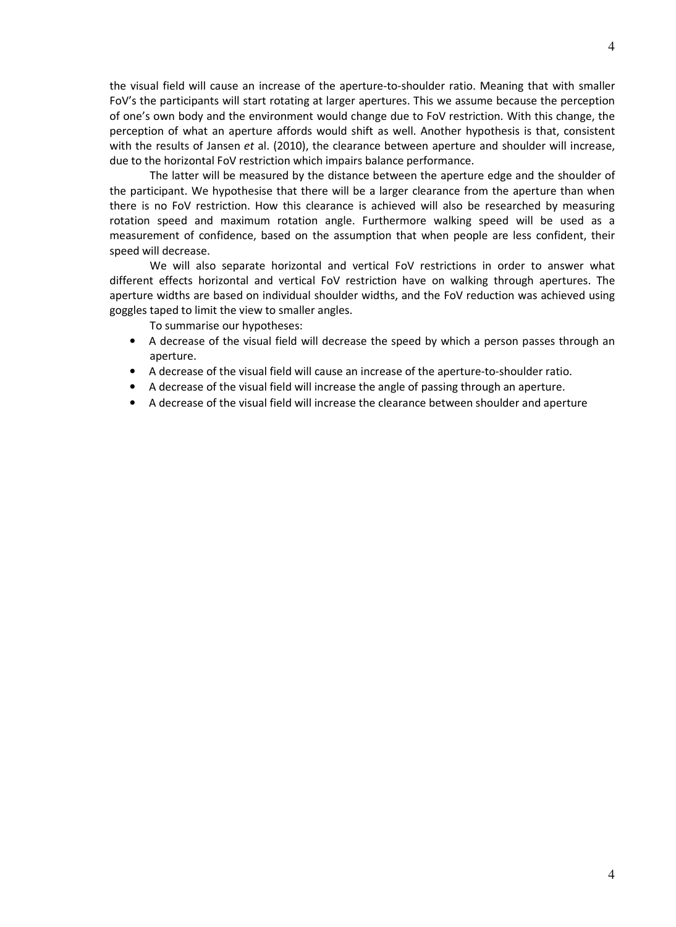the visual field will cause an increase of the aperture-to-shoulder ratio. Meaning that with smaller FoV's the participants will start rotating at larger apertures. This we assume because the perception of one's own body and the environment would change due to FoV restriction. With this change, the

perception of what an aperture affords would shift as well. Another hypothesis is that, consistent with the results of Jansen et al. (2010), the clearance between aperture and shoulder will increase, due to the horizontal FoV restriction which impairs balance performance. The latter will be measured by the distance between the aperture edge and the shoulder of

the participant. We hypothesise that there will be a larger clearance from the aperture than when there is no FoV restriction. How this clearance is achieved will also be researched by measuring rotation speed and maximum rotation angle. Furthermore walking speed will be used as a measurement of confidence, based on the assumption that when people are less confident, their speed will decrease.

We will also separate horizontal and vertical FoV restrictions in order to answer what different effects horizontal and vertical FoV restriction have on walking through apertures. The aperture widths are based on individual shoulder widths, and the FoV reduction was achieved using goggles taped to limit the view to smaller angles.

To summarise our hypotheses:

- A decrease of the visual field will decrease the speed by which a person passes through an aperture.
- A decrease of the visual field will cause an increase of the aperture-to-shoulder ratio.
- A decrease of the visual field will increase the angle of passing through an aperture.
- A decrease of the visual field will increase the clearance between shoulder and aperture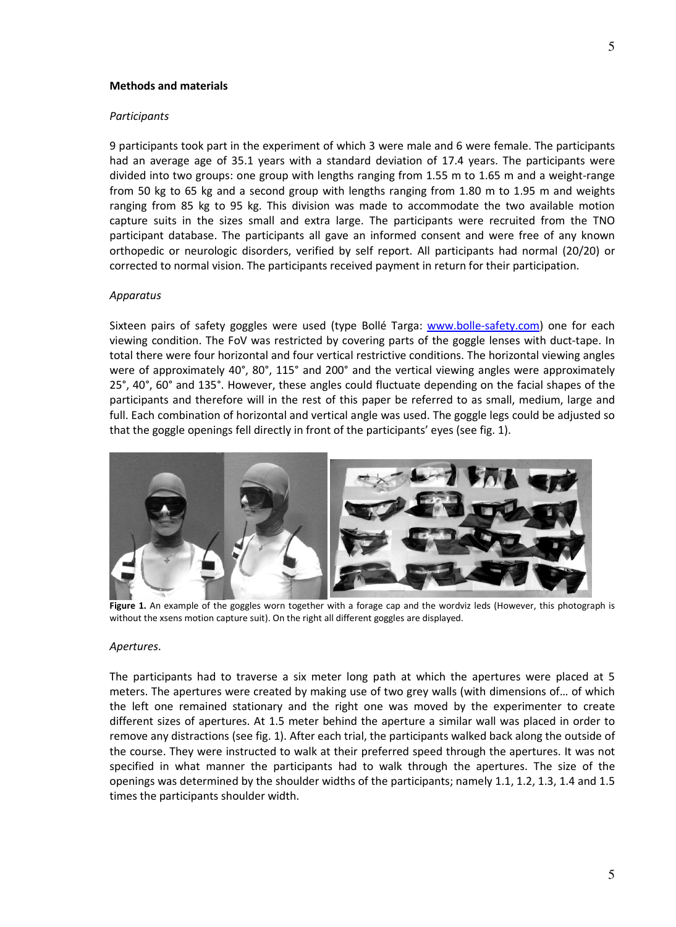#### Methods and materials

#### Participants

9 participants took part in the experiment of which 3 were male and 6 were female. The participants had an average age of 35.1 years with a standard deviation of 17.4 years. The participants were divided into two groups: one group with lengths ranging from 1.55 m to 1.65 m and a weight-range from 50 kg to 65 kg and a second group with lengths ranging from 1.80 m to 1.95 m and weights ranging from 85 kg to 95 kg. This division was made to accommodate the two available motion capture suits in the sizes small and extra large. The participants were recruited from the TNO participant database. The participants all gave an informed consent and were free of any known orthopedic or neurologic disorders, verified by self report. All participants had normal (20/20) or corrected to normal vision. The participants received payment in return for their participation.

#### Apparatus

Sixteen pairs of safety goggles were used (type Bollé Targa: www.bolle-safety.com) one for each viewing condition. The FoV was restricted by covering parts of the goggle lenses with duct-tape. In total there were four horizontal and four vertical restrictive conditions. The horizontal viewing angles were of approximately 40°, 80°, 115° and 200° and the vertical viewing angles were approximately 25°, 40°, 60° and 135°. However, these angles could fluctuate depending on the facial shapes of the participants and therefore will in the rest of this paper be referred to as small, medium, large and full. Each combination of horizontal and vertical angle was used. The goggle legs could be adjusted so that the goggle openings fell directly in front of the participants' eyes (see fig. 1).



Figure 1. An example of the goggles worn together with a forage cap and the wordviz leds (However, this photograph is without the xsens motion capture suit). On the right all different goggles are displayed.

#### Apertures.

The participants had to traverse a six meter long path at which the apertures were placed at 5 meters. The apertures were created by making use of two grey walls (with dimensions of… of which the left one remained stationary and the right one was moved by the experimenter to create different sizes of apertures. At 1.5 meter behind the aperture a similar wall was placed in order to remove any distractions (see fig. 1). After each trial, the participants walked back along the outside of the course. They were instructed to walk at their preferred speed through the apertures. It was not specified in what manner the participants had to walk through the apertures. The size of the openings was determined by the shoulder widths of the participants; namely 1.1, 1.2, 1.3, 1.4 and 1.5 times the participants shoulder width.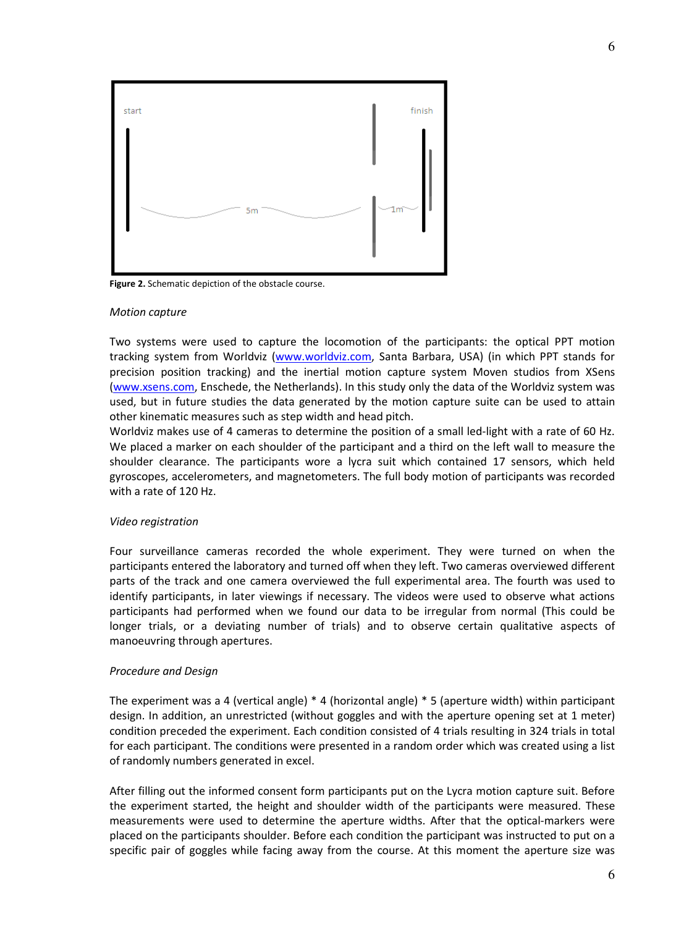

Figure 2. Schematic depiction of the obstacle course.

#### Motion capture

Two systems were used to capture the locomotion of the participants: the optical PPT motion tracking system from Worldviz (www.worldviz.com, Santa Barbara, USA) (in which PPT stands for precision position tracking) and the inertial motion capture system Moven studios from XSens (www.xsens.com, Enschede, the Netherlands). In this study only the data of the Worldviz system was used, but in future studies the data generated by the motion capture suite can be used to attain other kinematic measures such as step width and head pitch.

Worldviz makes use of 4 cameras to determine the position of a small led-light with a rate of 60 Hz. We placed a marker on each shoulder of the participant and a third on the left wall to measure the shoulder clearance. The participants wore a lycra suit which contained 17 sensors, which held gyroscopes, accelerometers, and magnetometers. The full body motion of participants was recorded with a rate of 120 Hz.

#### Video registration

Four surveillance cameras recorded the whole experiment. They were turned on when the participants entered the laboratory and turned off when they left. Two cameras overviewed different parts of the track and one camera overviewed the full experimental area. The fourth was used to identify participants, in later viewings if necessary. The videos were used to observe what actions participants had performed when we found our data to be irregular from normal (This could be longer trials, or a deviating number of trials) and to observe certain qualitative aspects of manoeuvring through apertures.

#### Procedure and Design

The experiment was a 4 (vertical angle) \* 4 (horizontal angle) \* 5 (aperture width) within participant design. In addition, an unrestricted (without goggles and with the aperture opening set at 1 meter) condition preceded the experiment. Each condition consisted of 4 trials resulting in 324 trials in total for each participant. The conditions were presented in a random order which was created using a list of randomly numbers generated in excel.

After filling out the informed consent form participants put on the Lycra motion capture suit. Before the experiment started, the height and shoulder width of the participants were measured. These measurements were used to determine the aperture widths. After that the optical-markers were placed on the participants shoulder. Before each condition the participant was instructed to put on a specific pair of goggles while facing away from the course. At this moment the aperture size was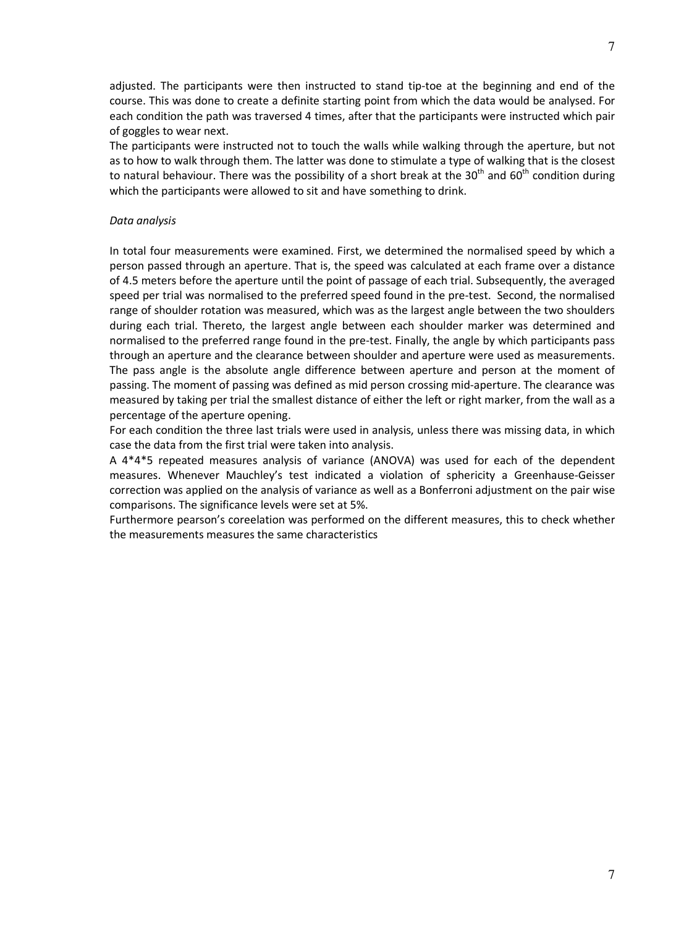adjusted. The participants were then instructed to stand tip-toe at the beginning and end of the course. This was done to create a definite starting point from which the data would be analysed. For each condition the path was traversed 4 times, after that the participants were instructed which pair of goggles to wear next.

The participants were instructed not to touch the walls while walking through the aperture, but not as to how to walk through them. The latter was done to stimulate a type of walking that is the closest to natural behaviour. There was the possibility of a short break at the 30<sup>th</sup> and 60<sup>th</sup> condition during which the participants were allowed to sit and have something to drink.

### Data analysis

In total four measurements were examined. First, we determined the normalised speed by which a person passed through an aperture. That is, the speed was calculated at each frame over a distance of 4.5 meters before the aperture until the point of passage of each trial. Subsequently, the averaged speed per trial was normalised to the preferred speed found in the pre-test. Second, the normalised range of shoulder rotation was measured, which was as the largest angle between the two shoulders during each trial. Thereto, the largest angle between each shoulder marker was determined and normalised to the preferred range found in the pre-test. Finally, the angle by which participants pass through an aperture and the clearance between shoulder and aperture were used as measurements. The pass angle is the absolute angle difference between aperture and person at the moment of passing. The moment of passing was defined as mid person crossing mid-aperture. The clearance was measured by taking per trial the smallest distance of either the left or right marker, from the wall as a percentage of the aperture opening.

For each condition the three last trials were used in analysis, unless there was missing data, in which case the data from the first trial were taken into analysis.

A 4\*4\*5 repeated measures analysis of variance (ANOVA) was used for each of the dependent measures. Whenever Mauchley's test indicated a violation of sphericity a Greenhause-Geisser correction was applied on the analysis of variance as well as a Bonferroni adjustment on the pair wise comparisons. The significance levels were set at 5%.

Furthermore pearson's coreelation was performed on the different measures, this to check whether the measurements measures the same characteristics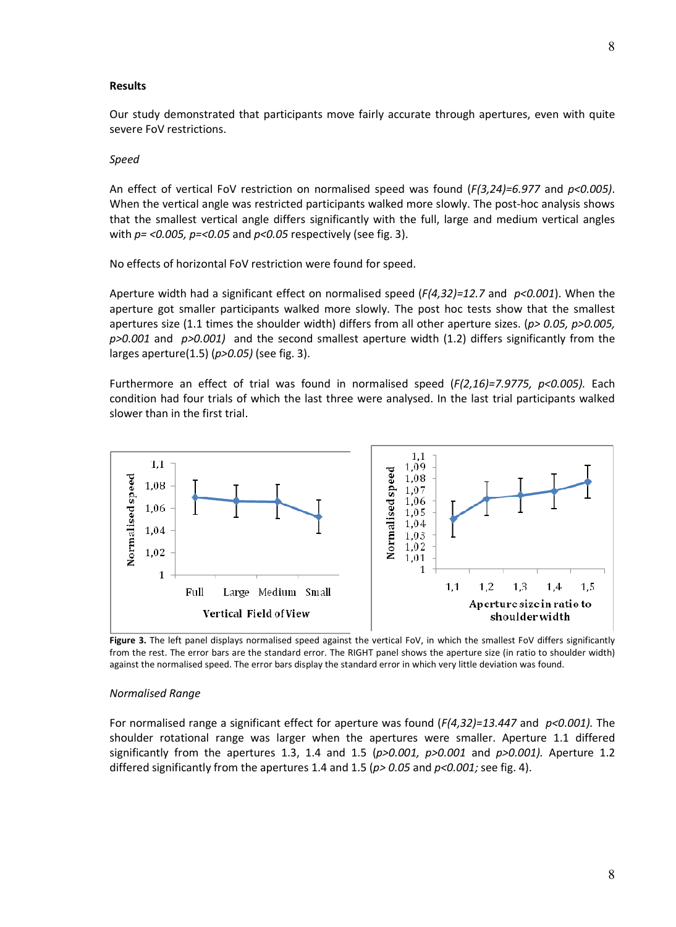#### **Results**

Our study demonstrated that participants move fairly accurate through apertures, even with quite severe FoV restrictions.

#### Speed

An effect of vertical FoV restriction on normalised speed was found  $(F(3.24)=6.977$  and  $p<0.005$ ). When the vertical angle was restricted participants walked more slowly. The post-hoc analysis shows that the smallest vertical angle differs significantly with the full, large and medium vertical angles with  $p = 0.005$ ,  $p = 0.05$  and  $p < 0.05$  respectively (see fig. 3).

No effects of horizontal FoV restriction were found for speed.

Aperture width had a significant effect on normalised speed  $(F(4,32)=12.7$  and  $p<0.001)$ . When the aperture got smaller participants walked more slowly. The post hoc tests show that the smallest apertures size (1.1 times the shoulder width) differs from all other aperture sizes. ( $p$  > 0.05,  $p$  > 0.005,  $p>0.001$  and  $p>0.001$  and the second smallest aperture width (1.2) differs significantly from the larges aperture(1.5) ( $p$ >0.05) (see fig. 3).

Furthermore an effect of trial was found in normalised speed  $(F(2,16)=7.9775, p<0.005)$ . Each condition had four trials of which the last three were analysed. In the last trial participants walked slower than in the first trial.



Figure 3. The left panel displays normalised speed against the vertical FoV, in which the smallest FoV differs significantly from the rest. The error bars are the standard error. The RIGHT panel shows the aperture size (in ratio to shoulder width) against the normalised speed. The error bars display the standard error in which very little deviation was found.

#### Normalised Range

For normalised range a significant effect for aperture was found  $(F(4,32)=13.447$  and  $p<0.001$ ). The shoulder rotational range was larger when the apertures were smaller. Aperture 1.1 differed significantly from the apertures 1.3, 1.4 and 1.5 ( $p>0.001$ ,  $p>0.001$  and  $p>0.001$ ). Aperture 1.2 differed significantly from the apertures 1.4 and 1.5 ( $p$  > 0.05 and  $p$  < 0.001; see fig. 4).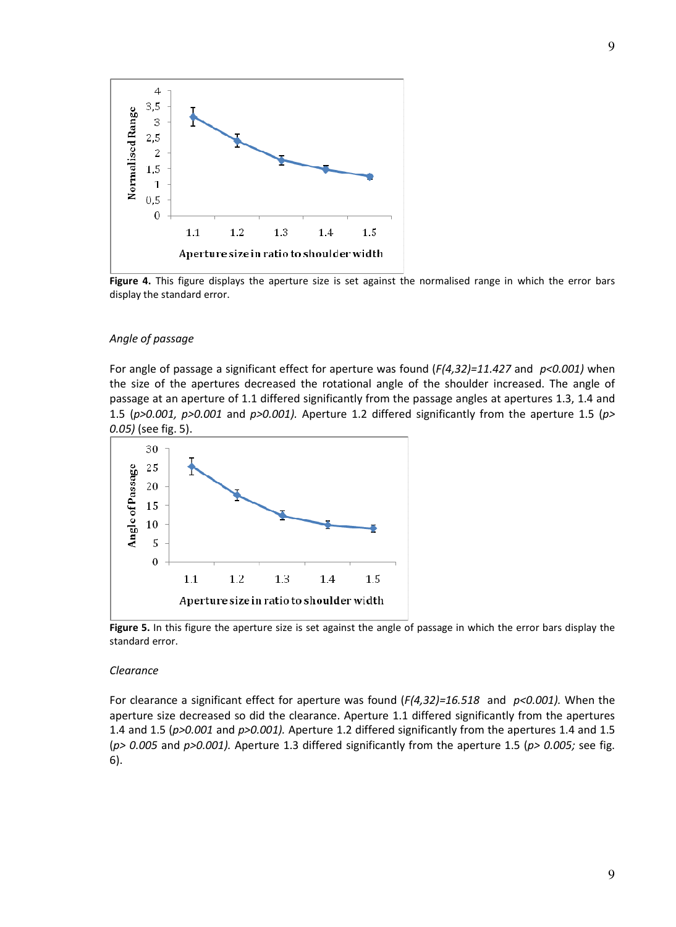

Figure 4. This figure displays the aperture size is set against the normalised range in which the error bars display the standard error.

#### Angle of passage

For angle of passage a significant effect for aperture was found  $(F(4,32)=11.427$  and  $p<0.001$ ) when the size of the apertures decreased the rotational angle of the shoulder increased. The angle of passage at an aperture of 1.1 differed significantly from the passage angles at apertures 1.3, 1.4 and 1.5 ( $p$ >0.001,  $p$ >0.001 and  $p$ >0.001). Aperture 1.2 differed significantly from the aperture 1.5 ( $p$ > 0.05) (see fig. 5).



Figure 5. In this figure the aperture size is set against the angle of passage in which the error bars display the standard error.

#### Clearance

For clearance a significant effect for aperture was found  $(F(4,32)=16.518$  and  $p<0.001$ ). When the aperture size decreased so did the clearance. Aperture 1.1 differed significantly from the apertures 1.4 and 1.5 ( $p > 0.001$  and  $p > 0.001$ ). Aperture 1.2 differed significantly from the apertures 1.4 and 1.5 ( $p$  > 0.005 and  $p$  > 0.001). Aperture 1.3 differed significantly from the aperture 1.5 ( $p$  > 0.005; see fig. 6).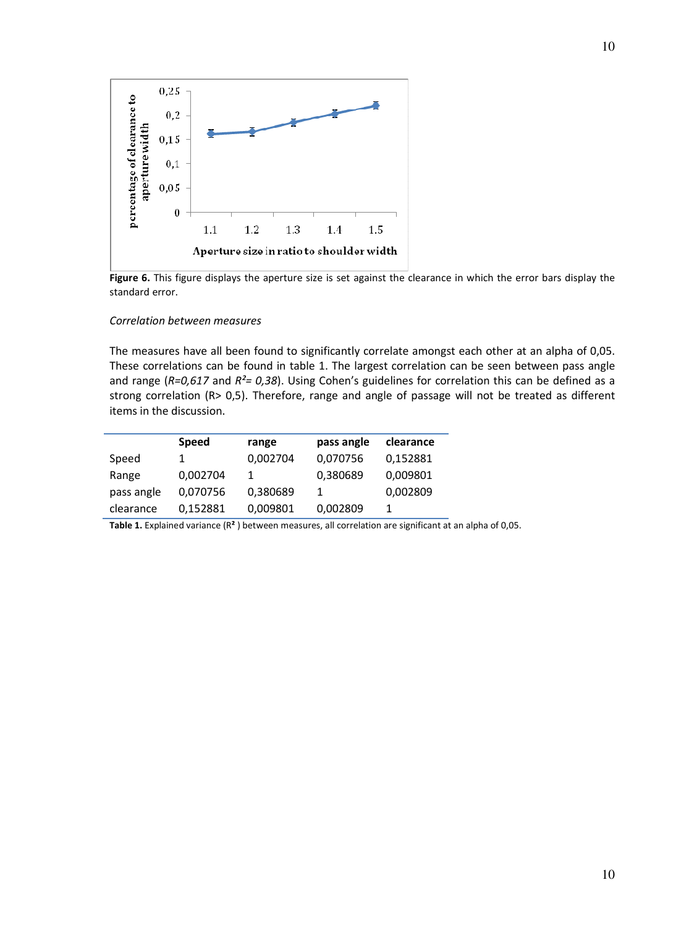

Figure 6. This figure displays the aperture size is set against the clearance in which the error bars display the standard error.

#### Correlation between measures

The measures have all been found to significantly correlate amongst each other at an alpha of 0,05. These correlations can be found in table 1. The largest correlation can be seen between pass angle and range ( $R=0.617$  and  $R^2=0.38$ ). Using Cohen's guidelines for correlation this can be defined as a strong correlation (R> 0,5). Therefore, range and angle of passage will not be treated as different items in the discussion.

|            | <b>Speed</b> | range    | pass angle | clearance |
|------------|--------------|----------|------------|-----------|
| Speed      |              | 0,002704 | 0,070756   | 0,152881  |
| Range      | 0,002704     |          | 0,380689   | 0,009801  |
| pass angle | 0,070756     | 0,380689 |            | 0,002809  |
| clearance  | 0,152881     | 0,009801 | 0,002809   |           |

Table 1. Explained variance (R<sup>2</sup>) between measures, all correlation are significant at an alpha of 0,05.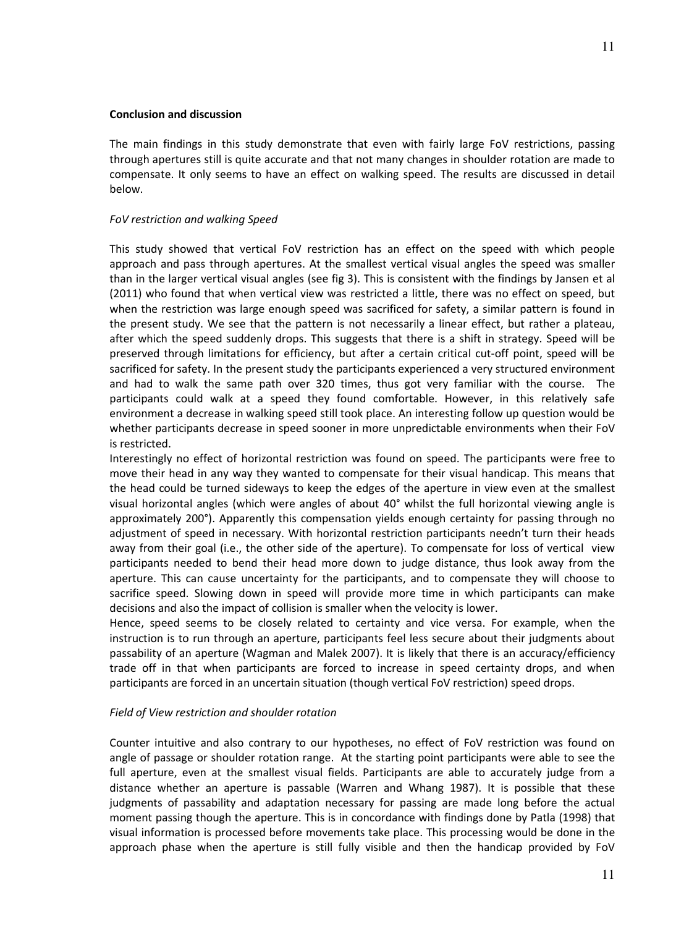# Conclusion and discussion

The main findings in this study demonstrate that even with fairly large FoV restrictions, passing through apertures still is quite accurate and that not many changes in shoulder rotation are made to compensate. It only seems to have an effect on walking speed. The results are discussed in detail below.

# FoV restriction and walking Speed

This study showed that vertical FoV restriction has an effect on the speed with which people approach and pass through apertures. At the smallest vertical visual angles the speed was smaller than in the larger vertical visual angles (see fig 3). This is consistent with the findings by Jansen et al (2011) who found that when vertical view was restricted a little, there was no effect on speed, but when the restriction was large enough speed was sacrificed for safety, a similar pattern is found in the present study. We see that the pattern is not necessarily a linear effect, but rather a plateau, after which the speed suddenly drops. This suggests that there is a shift in strategy. Speed will be preserved through limitations for efficiency, but after a certain critical cut-off point, speed will be sacrificed for safety. In the present study the participants experienced a very structured environment and had to walk the same path over 320 times, thus got very familiar with the course. The participants could walk at a speed they found comfortable. However, in this relatively safe environment a decrease in walking speed still took place. An interesting follow up question would be whether participants decrease in speed sooner in more unpredictable environments when their FoV is restricted.

Interestingly no effect of horizontal restriction was found on speed. The participants were free to move their head in any way they wanted to compensate for their visual handicap. This means that the head could be turned sideways to keep the edges of the aperture in view even at the smallest visual horizontal angles (which were angles of about 40° whilst the full horizontal viewing angle is approximately 200°). Apparently this compensation yields enough certainty for passing through no adjustment of speed in necessary. With horizontal restriction participants needn't turn their heads away from their goal (i.e., the other side of the aperture). To compensate for loss of vertical view participants needed to bend their head more down to judge distance, thus look away from the aperture. This can cause uncertainty for the participants, and to compensate they will choose to sacrifice speed. Slowing down in speed will provide more time in which participants can make decisions and also the impact of collision is smaller when the velocity is lower.

Hence, speed seems to be closely related to certainty and vice versa. For example, when the instruction is to run through an aperture, participants feel less secure about their judgments about passability of an aperture (Wagman and Malek 2007). It is likely that there is an accuracy/efficiency trade off in that when participants are forced to increase in speed certainty drops, and when participants are forced in an uncertain situation (though vertical FoV restriction) speed drops.

# Field of View restriction and shoulder rotation

Counter intuitive and also contrary to our hypotheses, no effect of FoV restriction was found on angle of passage or shoulder rotation range. At the starting point participants were able to see the full aperture, even at the smallest visual fields. Participants are able to accurately judge from a distance whether an aperture is passable (Warren and Whang 1987). It is possible that these judgments of passability and adaptation necessary for passing are made long before the actual moment passing though the aperture. This is in concordance with findings done by Patla (1998) that visual information is processed before movements take place. This processing would be done in the approach phase when the aperture is still fully visible and then the handicap provided by FoV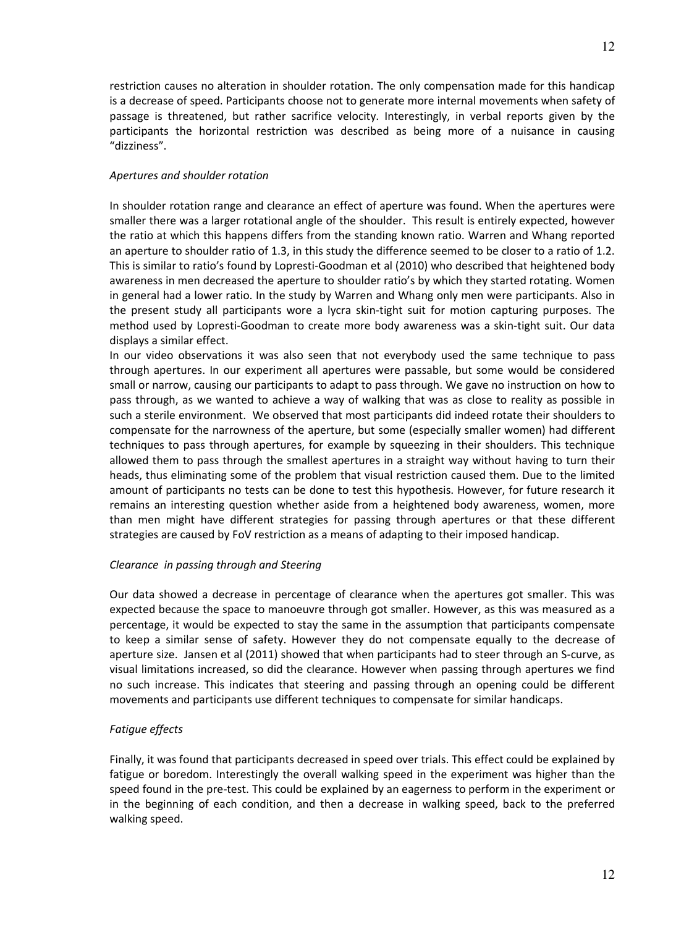restriction causes no alteration in shoulder rotation. The only compensation made for this handicap is a decrease of speed. Participants choose not to generate more internal movements when safety of passage is threatened, but rather sacrifice velocity. Interestingly, in verbal reports given by the participants the horizontal restriction was described as being more of a nuisance in causing "dizziness".

# Apertures and shoulder rotation

In shoulder rotation range and clearance an effect of aperture was found. When the apertures were smaller there was a larger rotational angle of the shoulder. This result is entirely expected, however the ratio at which this happens differs from the standing known ratio. Warren and Whang reported an aperture to shoulder ratio of 1.3, in this study the difference seemed to be closer to a ratio of 1.2. This is similar to ratio's found by Lopresti-Goodman et al (2010) who described that heightened body awareness in men decreased the aperture to shoulder ratio's by which they started rotating. Women in general had a lower ratio. In the study by Warren and Whang only men were participants. Also in the present study all participants wore a lycra skin-tight suit for motion capturing purposes. The method used by Lopresti-Goodman to create more body awareness was a skin-tight suit. Our data displays a similar effect.

In our video observations it was also seen that not everybody used the same technique to pass through apertures. In our experiment all apertures were passable, but some would be considered small or narrow, causing our participants to adapt to pass through. We gave no instruction on how to pass through, as we wanted to achieve a way of walking that was as close to reality as possible in such a sterile environment. We observed that most participants did indeed rotate their shoulders to compensate for the narrowness of the aperture, but some (especially smaller women) had different techniques to pass through apertures, for example by squeezing in their shoulders. This technique allowed them to pass through the smallest apertures in a straight way without having to turn their heads, thus eliminating some of the problem that visual restriction caused them. Due to the limited amount of participants no tests can be done to test this hypothesis. However, for future research it remains an interesting question whether aside from a heightened body awareness, women, more than men might have different strategies for passing through apertures or that these different strategies are caused by FoV restriction as a means of adapting to their imposed handicap.

# Clearance in passing through and Steering

Our data showed a decrease in percentage of clearance when the apertures got smaller. This was expected because the space to manoeuvre through got smaller. However, as this was measured as a percentage, it would be expected to stay the same in the assumption that participants compensate to keep a similar sense of safety. However they do not compensate equally to the decrease of aperture size. Jansen et al (2011) showed that when participants had to steer through an S-curve, as visual limitations increased, so did the clearance. However when passing through apertures we find no such increase. This indicates that steering and passing through an opening could be different movements and participants use different techniques to compensate for similar handicaps.

# Fatigue effects

Finally, it was found that participants decreased in speed over trials. This effect could be explained by fatigue or boredom. Interestingly the overall walking speed in the experiment was higher than the speed found in the pre-test. This could be explained by an eagerness to perform in the experiment or in the beginning of each condition, and then a decrease in walking speed, back to the preferred walking speed.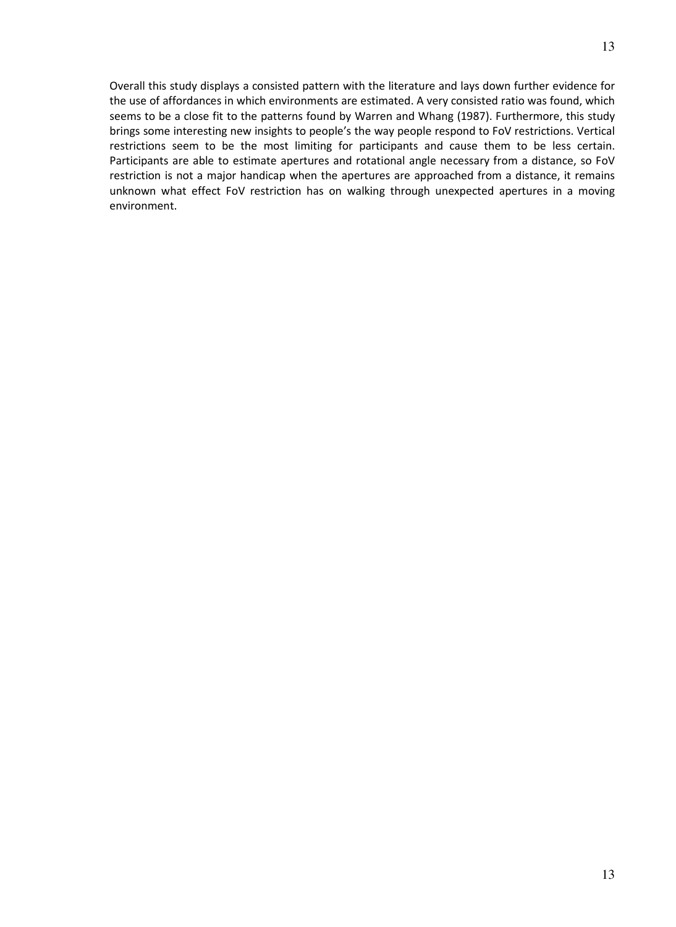Overall this study displays a consisted pattern with the literature and lays down further evidence for the use of affordances in which environments are estimated. A very consisted ratio was found, which seems to be a close fit to the patterns found by Warren and Whang (1987). Furthermore, this study brings some interesting new insights to people's the way people respond to FoV restrictions. Vertical restrictions seem to be the most limiting for participants and cause them to be less certain. Participants are able to estimate apertures and rotational angle necessary from a distance, so FoV restriction is not a major handicap when the apertures are approached from a distance, it remains unknown what effect FoV restriction has on walking through unexpected apertures in a moving environment.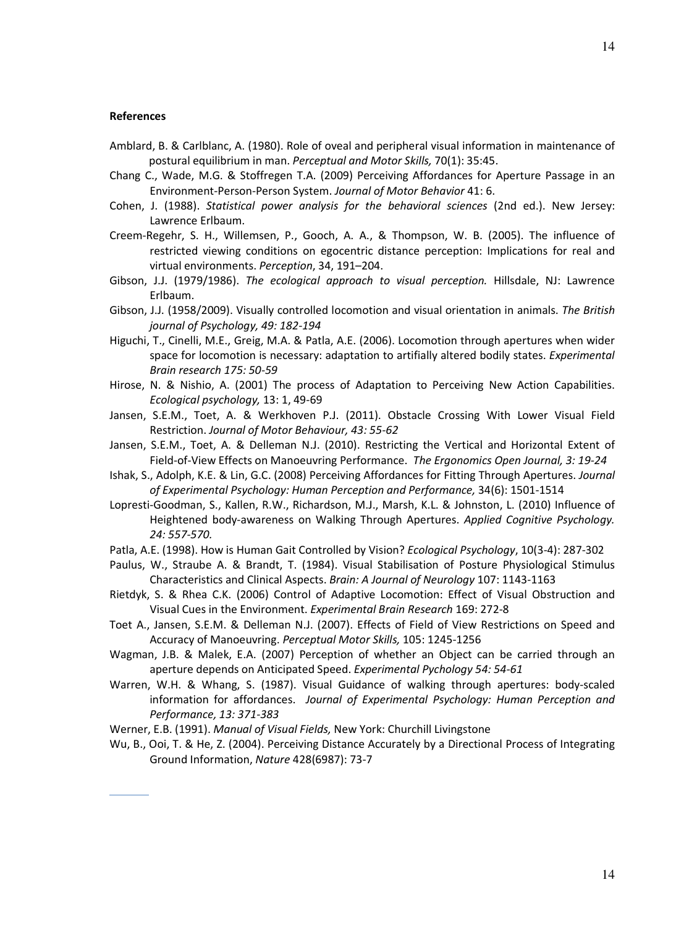#### References

- Amblard, B. & Carlblanc, A. (1980). Role of oveal and peripheral visual information in maintenance of postural equilibrium in man. Perceptual and Motor Skills, 70(1): 35:45.
- Chang C., Wade, M.G. & Stoffregen T.A. (2009) Perceiving Affordances for Aperture Passage in an Environment-Person-Person System. Journal of Motor Behavior 41: 6.
- Cohen, J. (1988). Statistical power analysis for the behavioral sciences (2nd ed.). New Jersey: Lawrence Erlbaum.
- Creem-Regehr, S. H., Willemsen, P., Gooch, A. A., & Thompson, W. B. (2005). The influence of restricted viewing conditions on egocentric distance perception: Implications for real and virtual environments. Perception, 34, 191–204.
- Gibson, J.J. (1979/1986). The ecological approach to visual perception. Hillsdale, NJ: Lawrence Erlbaum.
- Gibson, J.J. (1958/2009). Visually controlled locomotion and visual orientation in animals. The British journal of Psychology, 49: 182-194
- Higuchi, T., Cinelli, M.E., Greig, M.A. & Patla, A.E. (2006). Locomotion through apertures when wider space for locomotion is necessary: adaptation to artifially altered bodily states. Experimental Brain research 175: 50-59
- Hirose, N. & Nishio, A. (2001) The process of Adaptation to Perceiving New Action Capabilities. Ecological psychology, 13: 1, 49-69
- Jansen, S.E.M., Toet, A. & Werkhoven P.J. (2011). Obstacle Crossing With Lower Visual Field Restriction. Journal of Motor Behaviour, 43: 55-62
- Jansen, S.E.M., Toet, A. & Delleman N.J. (2010). Restricting the Vertical and Horizontal Extent of Field-of-View Effects on Manoeuvring Performance. The Ergonomics Open Journal, 3: 19-24
- Ishak, S., Adolph, K.E. & Lin, G.C. (2008) Perceiving Affordances for Fitting Through Apertures. Journal of Experimental Psychology: Human Perception and Performance, 34(6): 1501-1514
- Lopresti-Goodman, S., Kallen, R.W., Richardson, M.J., Marsh, K.L. & Johnston, L. (2010) Influence of Heightened body-awareness on Walking Through Apertures. Applied Cognitive Psychology. 24: 557-570.
- Patla, A.E. (1998). How is Human Gait Controlled by Vision? Ecological Psychology, 10(3-4): 287-302
- Paulus, W., Straube A. & Brandt, T. (1984). Visual Stabilisation of Posture Physiological Stimulus Characteristics and Clinical Aspects. Brain: A Journal of Neurology 107: 1143-1163
- Rietdyk, S. & Rhea C.K. (2006) Control of Adaptive Locomotion: Effect of Visual Obstruction and Visual Cues in the Environment. Experimental Brain Research 169: 272-8
- Toet A., Jansen, S.E.M. & Delleman N.J. (2007). Effects of Field of View Restrictions on Speed and Accuracy of Manoeuvring. Perceptual Motor Skills, 105: 1245-1256
- Wagman, J.B. & Malek, E.A. (2007) Perception of whether an Object can be carried through an aperture depends on Anticipated Speed. Experimental Pychology 54: 54-61
- Warren, W.H. & Whang, S. (1987). Visual Guidance of walking through apertures: body-scaled information for affordances. Journal of Experimental Psychology: Human Perception and Performance, 13: 371-383

Werner, E.B. (1991). Manual of Visual Fields, New York: Churchill Livingstone

Wu, B., Ooi, T. & He, Z. (2004). Perceiving Distance Accurately by a Directional Process of Integrating Ground Information, Nature 428(6987): 73-7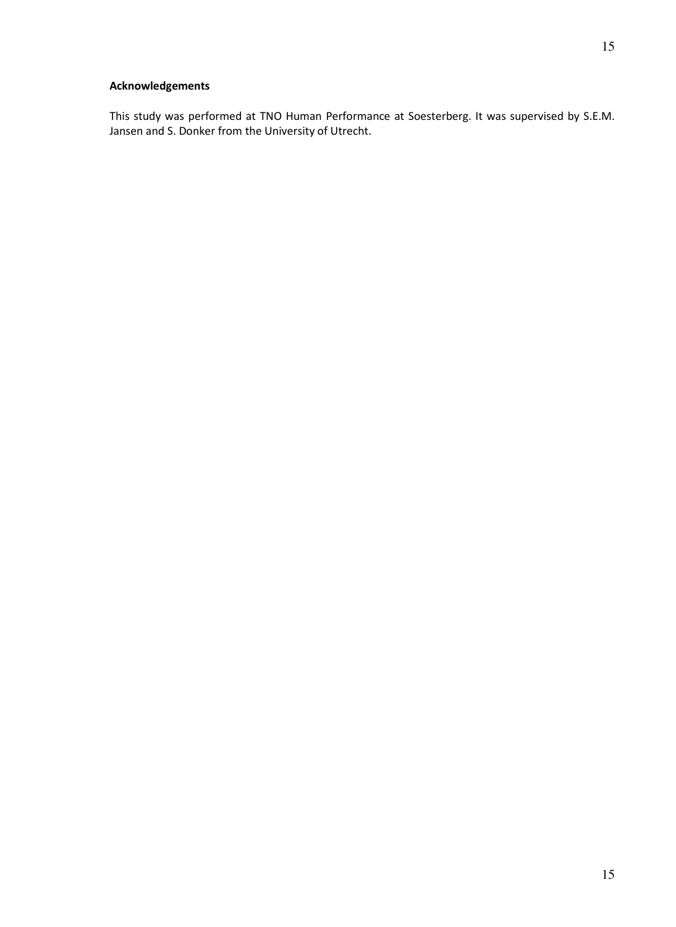This study was performed at TNO Human Performance at Soesterberg. It was supervised by S.E.M. Jansen and S. Donker from the University of Utrecht.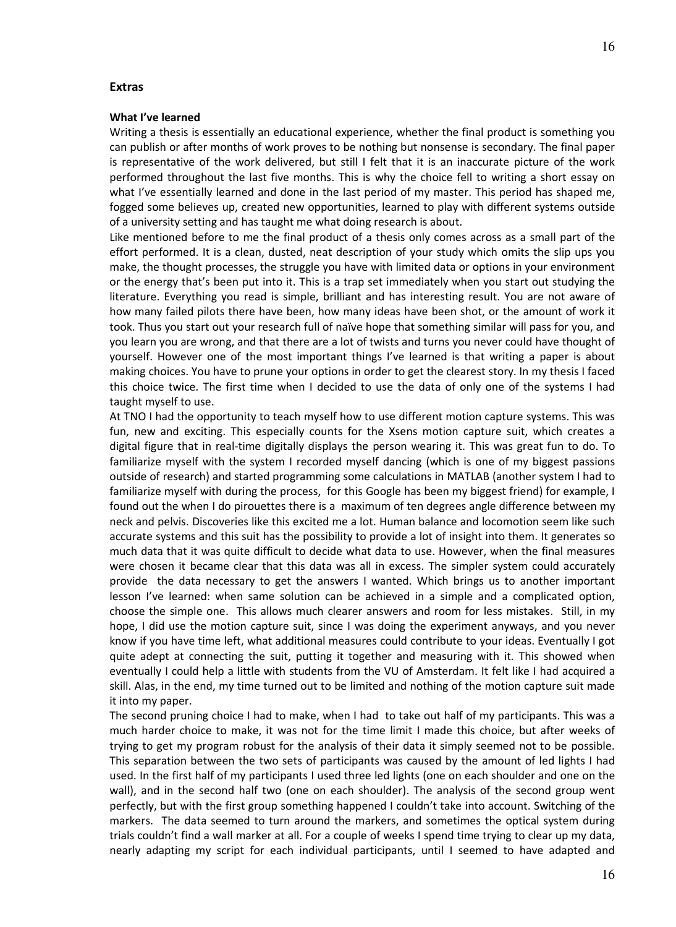#### Extras

#### What I've learned

Writing a thesis is essentially an educational experience, whether the final product is something you can publish or after months of work proves to be nothing but nonsense is secondary. The final paper is representative of the work delivered, but still I felt that it is an inaccurate picture of the work performed throughout the last five months. This is why the choice fell to writing a short essay on what I've essentially learned and done in the last period of my master. This period has shaped me, fogged some believes up, created new opportunities, learned to play with different systems outside of a university setting and has taught me what doing research is about.

Like mentioned before to me the final product of a thesis only comes across as a small part of the effort performed. It is a clean, dusted, neat description of your study which omits the slip ups you make, the thought processes, the struggle you have with limited data or options in your environment or the energy that's been put into it. This is a trap set immediately when you start out studying the literature. Everything you read is simple, brilliant and has interesting result. You are not aware of how many failed pilots there have been, how many ideas have been shot, or the amount of work it took. Thus you start out your research full of naïve hope that something similar will pass for you, and you learn you are wrong, and that there are a lot of twists and turns you never could have thought of yourself. However one of the most important things I've learned is that writing a paper is about making choices. You have to prune your options in order to get the clearest story. In my thesis I faced this choice twice. The first time when I decided to use the data of only one of the systems I had taught myself to use.

At TNO I had the opportunity to teach myself how to use different motion capture systems. This was fun, new and exciting. This especially counts for the Xsens motion capture suit, which creates a digital figure that in real-time digitally displays the person wearing it. This was great fun to do. To familiarize myself with the system I recorded myself dancing (which is one of my biggest passions outside of research) and started programming some calculations in MATLAB (another system I had to familiarize myself with during the process, for this Google has been my biggest friend) for example, I found out the when I do pirouettes there is a maximum of ten degrees angle difference between my neck and pelvis. Discoveries like this excited me a lot. Human balance and locomotion seem like such accurate systems and this suit has the possibility to provide a lot of insight into them. It generates so much data that it was quite difficult to decide what data to use. However, when the final measures were chosen it became clear that this data was all in excess. The simpler system could accurately provide the data necessary to get the answers I wanted. Which brings us to another important lesson I've learned: when same solution can be achieved in a simple and a complicated option, choose the simple one. This allows much clearer answers and room for less mistakes. Still, in my hope, I did use the motion capture suit, since I was doing the experiment anyways, and you never know if you have time left, what additional measures could contribute to your ideas. Eventually I got quite adept at connecting the suit, putting it together and measuring with it. This showed when eventually I could help a little with students from the VU of Amsterdam. It felt like I had acquired a skill. Alas, in the end, my time turned out to be limited and nothing of the motion capture suit made it into my paper.

The second pruning choice I had to make, when I had to take out half of my participants. This was a much harder choice to make, it was not for the time limit I made this choice, but after weeks of trying to get my program robust for the analysis of their data it simply seemed not to be possible. This separation between the two sets of participants was caused by the amount of led lights I had used. In the first half of my participants I used three led lights (one on each shoulder and one on the wall), and in the second half two (one on each shoulder). The analysis of the second group went perfectly, but with the first group something happened I couldn't take into account. Switching of the markers. The data seemed to turn around the markers, and sometimes the optical system during trials couldn't find a wall marker at all. For a couple of weeks I spend time trying to clear up my data, nearly adapting my script for each individual participants, until I seemed to have adapted and